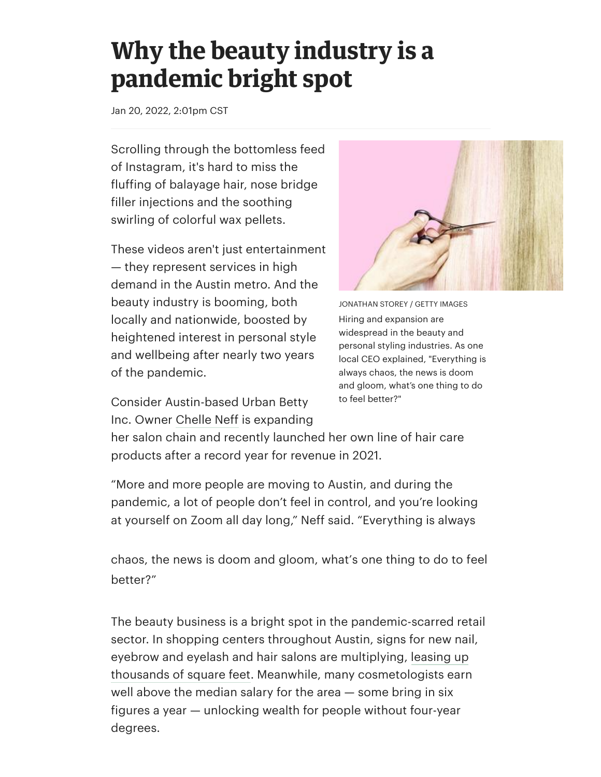## **Why the beauty industry is a pandemic bright spot**

Jan 20, 2022, 2:01pm CST

Scrolling through the bottomless feed of Instagram, it's hard to miss the fluffing of balayage hair, nose bridge filler injections and the soothing swirling of colorful wax pellets.

These videos aren't just entertainment — they represent services in high demand in the Austin metro. And the beauty industry is booming, both locally and nationwide, boosted by heightened interest in personal style and wellbeing after nearly two years of the pandemic.

Consider Austin-based Urban Betty Inc. Owner Chelle Neff is expanding



JONATHAN STOREY / GETTY IMAGES Hiring and expansion are widespread in the beauty and personal styling industries. As one local CEO explained, "Everything is always chaos, the news is doom and gloom, what's one thing to do to feel better?"

her salon chain and recently launched her own line of hair care products after a record year for revenue in 2021.

"More and more people are moving to Austin, and during the pandemic, a lot of people don't feel in control, and you're looking at yourself on Zoom all day long," Neff said. "Everything is always

chaos, the news is doom and gloom, what's one thing to do to feel better?"

The beauty [business is](https://www.bizjournals.com/austin/search/results?q=Chelle%20Neff) a bright spot in the pandemic-scarred retail sector. In shopping centers throughout Austin, signs for new nail, eyebrow and eyelash and hair salons are multiplying, leasing up thousands of square feet. Meanwhile, many cosmetologists earn well above the median salary for the area — some bring in six figures a year — unlocking wealth for people without four-year degrees.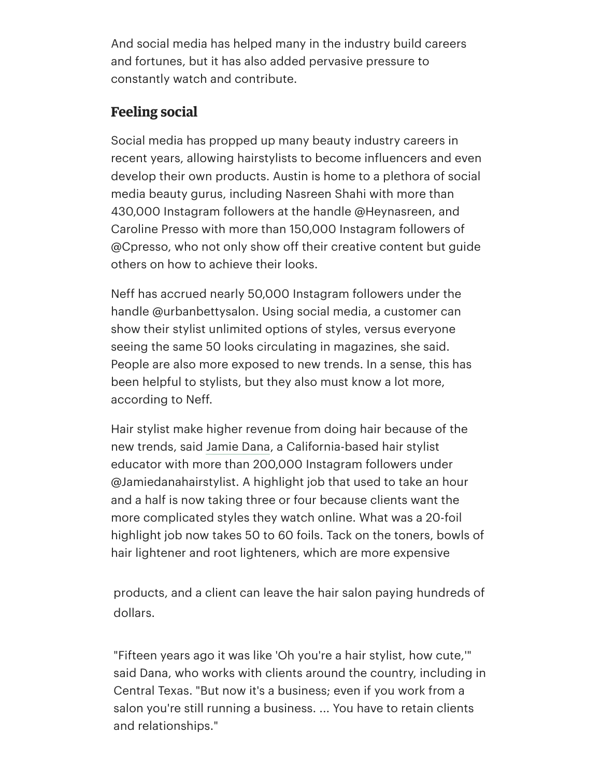And social media has helped many in the industry build careers and fortunes, but it has also added pervasive pressure to constantly watch and contribute.

## **Feeling social**

[Social media has propped up many beauty industry careers in](https://www.bizjournals.com/austin/news/2022/01/06/alabama-company-brings-more-housing-metro-austin.html) recent years, allowing hairstylists to become influencers and even develop their own products. Austin is home to a plethora of social media beauty gurus, including Nasreen Shahi with more than 430,000 Instagram followers at the handle @Heynasreen, and Caroline Presso with more than 150,000 Instagram followers of @Cpresso, who not only show off their creative content but guide others on how to achieve their looks.

Neff has accrued nearly 50,000 Instagram followers under the handle @urbanbettysalon. Using social media, a customer can show their stylist unlimited options of styles, versus everyone seeing the same 50 looks circulating in magazines, she said. People are also more exposed to new trends. In a sense, this has been helpful to stylists, but they also must know a lot more, according to Neff.

Hair stylist make higher revenue from doing hair because of the new trends, said Jamie Dana, a California-based hair stylist educator with more than 200,000 Instagram followers under @Jamiedanahairstylist. A highlight job that used to take an hour and a half is now taking three or four because clients want the more complicated styles they watch online. What was a 20-foil highlight job now takes 50 to 60 foils. Tack on the toners, bowls of hair lightener and root lighteners, which are more expensive

products, and a client can leave the hair salon paying hundreds of dollars.

"Fifteen years ago it was like 'Oh you're a hair stylist, how cute,'" said Dana, who works with clients around the country, including in Central Texas. "But now it's a business; even if you work from a salon you're still running a business. ... You have to retain clients and relationships."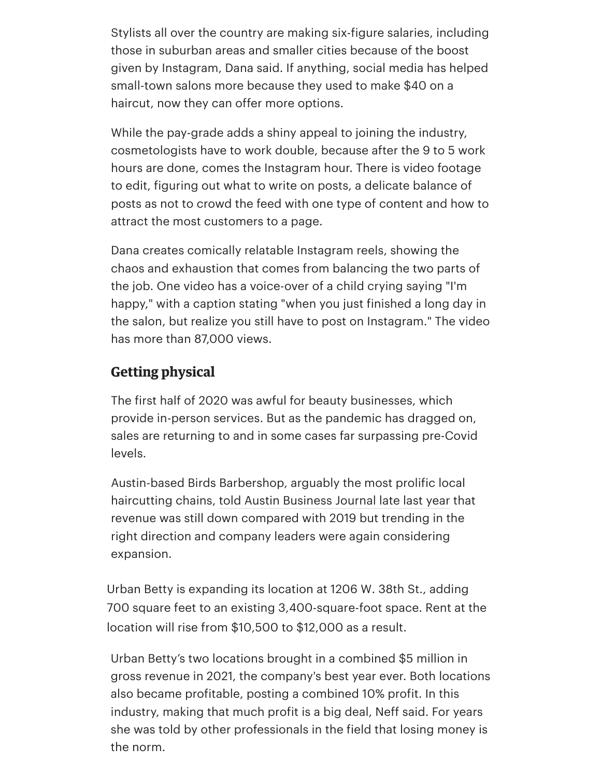Stylists all over the country are making six-figure salaries, including those in suburban areas and smaller cities because of the boost given by Instagram, Dana said. If anything, social media has helped small-town salons more because they used to make \$40 on a haircut, now they can offer more options.

While the pay-grade adds a shiny appeal to joining the industry, cosmetologists have to work double, because after the 9 to 5 work hours are done, comes the Instagram hour. There is video footage to edit, figuring out what to write on posts, a delicate balance of posts as not to crowd the feed with one type of content and how to attract the most customers to a page.

Dana creates comically relatable Instagram reels, showing the chaos and exhaustion that comes from balancing the two parts of the job. One video has a voice-over of a child crying saying "I'm happy," with a caption stating "when you just finished a long day in the salon, but realize you still have to post on Instagram." The video has more than 87,000 views.

## **Getting physical**

The first half of 2020 was awful for beauty businesses, which provide in-person services. But as the pandemic has dragged on, sales are returning to and in some cases far surpassing pre-Covid levels.

Austin-based Birds Barbershop, arguably the most prolific local haircutting chains, told Austin Business Journal late last year that revenue was still down compared with 2019 but trending in the right direction and company leaders were again considering expansion.

Urban Betty is expanding its location at 1206 W. 38th St., adding 700 square feet to an existing 3,400-square-foot space. Rent at the location will rise from \$10,500 to \$12,000 as a result.

Urban Betty's two l[ocations brought in a combined \\$5 million](https://www.bizjournals.com/austin/news/2021/11/04/after-doubles-down-on-austin-after-pandemic.html) in gross revenue in 2021, the company's best year ever. Both locations also became profitable, posting a combined 10% profit. In this industry, making that much profit is a big deal, Neff said. For years she was told by other professionals in the field that losing money is the norm.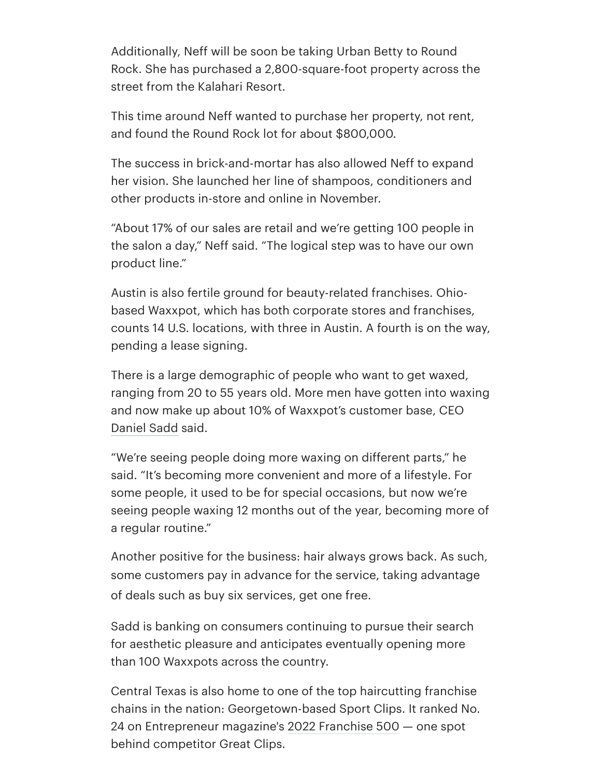Additionally, Neff will be soon be taking Urban Betty to Round Rock. She has purchased a 2,800-square-foot property across the street from the Kalahari Resort.

This time around Neff wanted to purchase her property, not rent, and found the Round Rock lot for about \$800,000.

The success in brick-and-mortar has also allowed Neff to expand her vision. She launched her line of shampoos, conditioners and other products in-store and online in November.

"About 17% of our sales are retail and we're getting 100 people in the salon a day," Neff said. "The logical step was to have our own product line."

Austin is also fertile ground for beauty-related franchises. Ohiobased Waxxpot, which has both corporate stores and franchises, counts 14 U.S. locations, with three in Austin. A fourth is on the way, pending a lease signing.

There is a large demographic of people who want to get waxed, ranging from 20 to 55 years old. More men have gotten into waxing and now make up about 10% of Waxxpot's customer base, CEO Daniel Sadd said.

"We're seeing people doing more waxing on different parts," he said. "It's becoming more convenient and more of a lifestyle. For some people, it used to be for special occasions, but now we're seeing people waxing 12 months out of the year, becoming more of a regular routine."

Another positive for the business: hair always grows back. As such, some customers pay in advance for the service, taking advantage [of deals such](https://www.bizjournals.com/austin/search/results?q=Daniel%20Sadd) as buy six services, get one free.

Sadd is banking on consumers continuing to pursue their search for aesthetic pleasure and anticipates eventually opening more than 100 Waxxpots across the country.

Central Texas is also home to one of the top haircutting franchise chains in the nation: Georgetown-based Sport Clips. It ranked No. 24 on Entrepreneur magazine's 2022 Franchise 500 — one spot behind competitor Great Clips.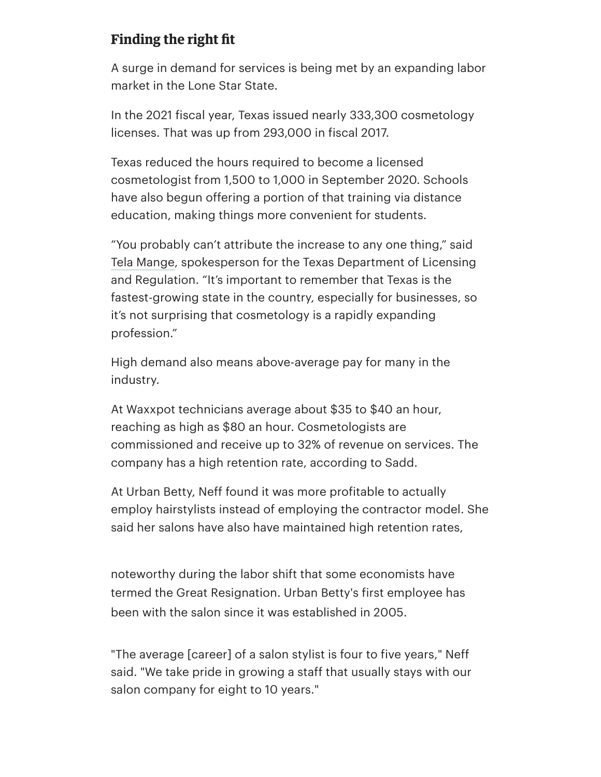## **Finding the right fit**

A surge in demand for services is being met by an expanding labor market in the Lone Star State.

In the 2021 fiscal year, Texas issued nearly 333,300 cosmetology licenses. That was up from 293,000 in fiscal 2017.

Texas reduced the hours required to become a licensed cosmetologist from 1,500 to 1,000 in September 2020. Schools have also begun offering a port[ion of that training v](https://www.entrepreneur.com/franchise500)ia distance education, making things more convenient for students.

"You probably can't attribute the increase to any one thing," said Tela Mange, spokesperson for the Texas Department of Licensing and Regulation. "It's important to remember that Texas is the fastest-growing state in the country, especially for businesses, so it's not surprising that cosmetology is a rapidly expanding profession."

High demand also means above-average pay for many in the industry.

At Waxxpot technicians average about \$35 to \$40 an hour, reaching as high as \$80 an hour. Cosmetologists are commissioned and receive up to 32% of revenue on services. The [company ha](https://www.bizjournals.com/austin/search/results?q=Tela%20Mange)s a high retention rate, according to Sadd.

At Urban Betty, Neff found it was more profitable to actually employ hairstylists instead of employing the contractor model. She said her salons have also have maintained high retention rates,

noteworthy during the labor shift that some economists have termed the Great Resignation. Urban Betty's first employee has been with the salon since it was established in 2005.

"The average [career] of a salon stylist is four to five years," Neff said. "We take pride in growing a staff that usually stays with our salon company for eight to 10 years."